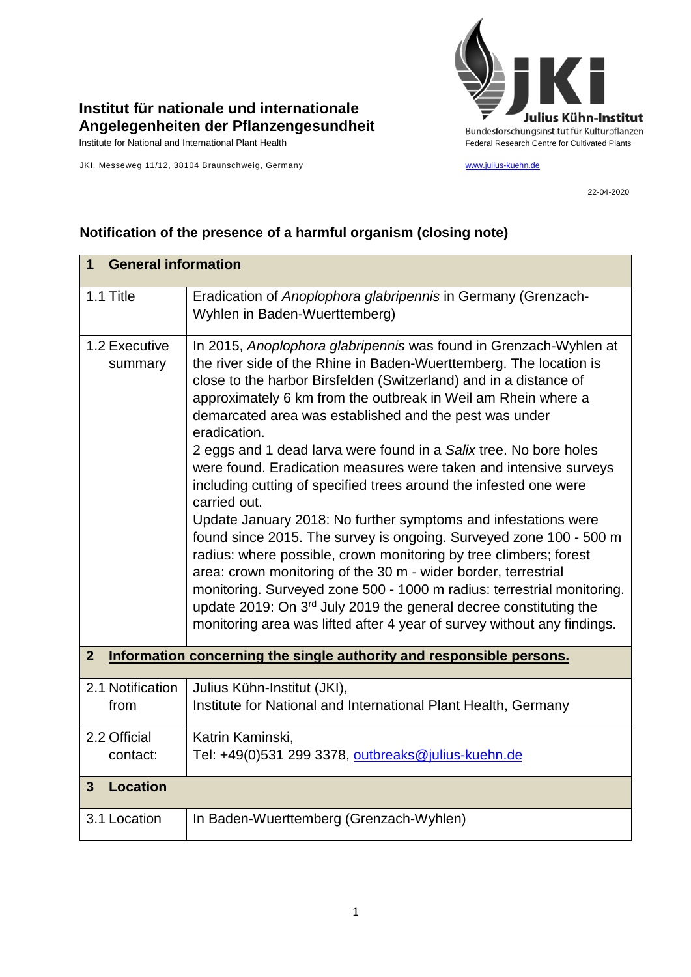

## **Institut für nationale und internationale Angelegenheiten der Pflanzengesundheit**

Institute for National and International Plant Health Feature And Theorem Federal Research Centre for Cultivated Plants

JKI, Messeweg 11/12, 38104 Braunschweig, Germany [www.julius-kuehn.de](http://www.julius-kuehn.de/)

22-04-2020

## **1 General information** 1.1 Title Eradication of *Anoplophora glabripennis* in Germany (Grenzach-Wyhlen in Baden-Wuerttemberg) 1.2 Executive summary In 2015, *Anoplophora glabripennis* was found in Grenzach-Wyhlen at the river side of the Rhine in Baden-Wuerttemberg. The location is close to the harbor Birsfelden (Switzerland) and in a distance of approximately 6 km from the outbreak in Weil am Rhein where a demarcated area was established and the pest was under eradication. 2 eggs and 1 dead larva were found in a *Salix* tree. No bore holes were found. Eradication measures were taken and intensive surveys including cutting of specified trees around the infested one were carried out. Update January 2018: No further symptoms and infestations were found since 2015. The survey is ongoing. Surveyed zone 100 - 500 m radius: where possible, crown monitoring by tree climbers; forest area: crown monitoring of the 30 m - wider border, terrestrial monitoring. Surveyed zone 500 - 1000 m radius: terrestrial monitoring. update 2019: On 3rd July 2019 the general decree constituting the monitoring area was lifted after 4 year of survey without any findings. **2 Information concerning the single authority and responsible persons.** 2.1 Notification from Julius Kühn-Institut (JKI), Institute for National and International Plant Health, Germany 2.2 Official contact: Katrin Kaminski, Tel: +49(0)531 299 3378, [outbreaks@julius-kuehn.de](mailto:outbreaks@julius-kuehn.de) **3 Location**  3.1 Location | In Baden-Wuerttemberg (Grenzach-Wyhlen)

## **Notification of the presence of a harmful organism (closing note)**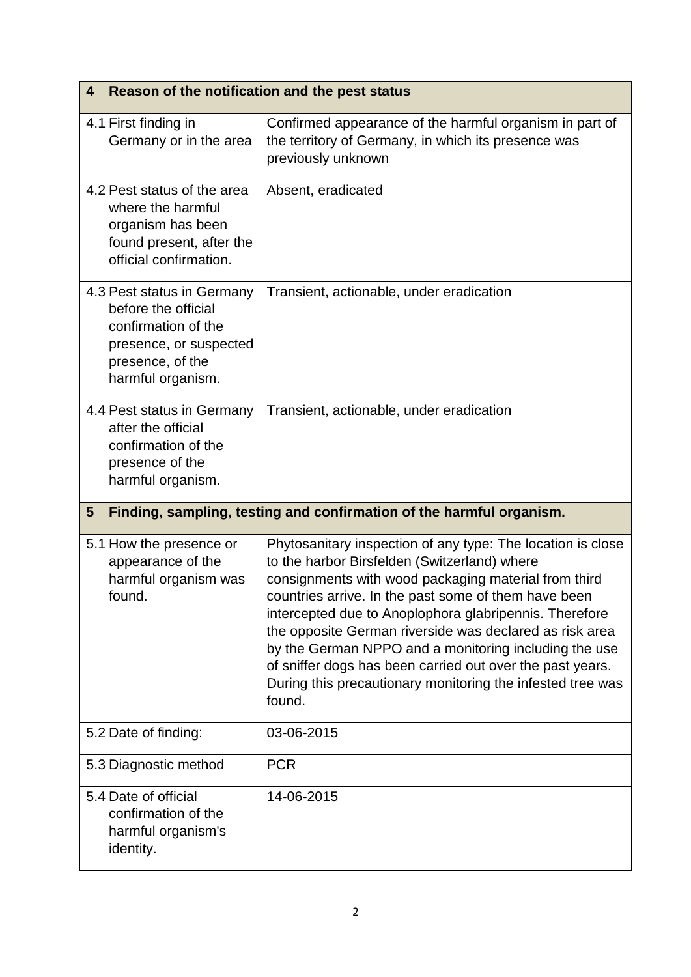| Reason of the notification and the pest status<br>4                                                                                         |                                                                                                                                                                                                                                                                                                                                                                                                                                                                                                                                                |  |
|---------------------------------------------------------------------------------------------------------------------------------------------|------------------------------------------------------------------------------------------------------------------------------------------------------------------------------------------------------------------------------------------------------------------------------------------------------------------------------------------------------------------------------------------------------------------------------------------------------------------------------------------------------------------------------------------------|--|
| 4.1 First finding in<br>Germany or in the area                                                                                              | Confirmed appearance of the harmful organism in part of<br>the territory of Germany, in which its presence was<br>previously unknown                                                                                                                                                                                                                                                                                                                                                                                                           |  |
| 4.2 Pest status of the area<br>where the harmful<br>organism has been<br>found present, after the<br>official confirmation.                 | Absent, eradicated                                                                                                                                                                                                                                                                                                                                                                                                                                                                                                                             |  |
| 4.3 Pest status in Germany<br>before the official<br>confirmation of the<br>presence, or suspected<br>presence, of the<br>harmful organism. | Transient, actionable, under eradication                                                                                                                                                                                                                                                                                                                                                                                                                                                                                                       |  |
| 4.4 Pest status in Germany<br>after the official<br>confirmation of the<br>presence of the<br>harmful organism.                             | Transient, actionable, under eradication                                                                                                                                                                                                                                                                                                                                                                                                                                                                                                       |  |
| Finding, sampling, testing and confirmation of the harmful organism.<br>$5\phantom{.0}$                                                     |                                                                                                                                                                                                                                                                                                                                                                                                                                                                                                                                                |  |
| 5.1 How the presence or<br>appearance of the<br>harmful organism was<br>found.                                                              | Phytosanitary inspection of any type: The location is close<br>to the harbor Birsfelden (Switzerland) where<br>consignments with wood packaging material from third<br>countries arrive. In the past some of them have been<br>intercepted due to Anoplophora glabripennis. Therefore<br>the opposite German riverside was declared as risk area<br>by the German NPPO and a monitoring including the use<br>of sniffer dogs has been carried out over the past years.<br>During this precautionary monitoring the infested tree was<br>found. |  |
| 5.2 Date of finding:                                                                                                                        | 03-06-2015                                                                                                                                                                                                                                                                                                                                                                                                                                                                                                                                     |  |
| 5.3 Diagnostic method                                                                                                                       | <b>PCR</b>                                                                                                                                                                                                                                                                                                                                                                                                                                                                                                                                     |  |
| 5.4 Date of official<br>confirmation of the<br>harmful organism's<br>identity.                                                              | 14-06-2015                                                                                                                                                                                                                                                                                                                                                                                                                                                                                                                                     |  |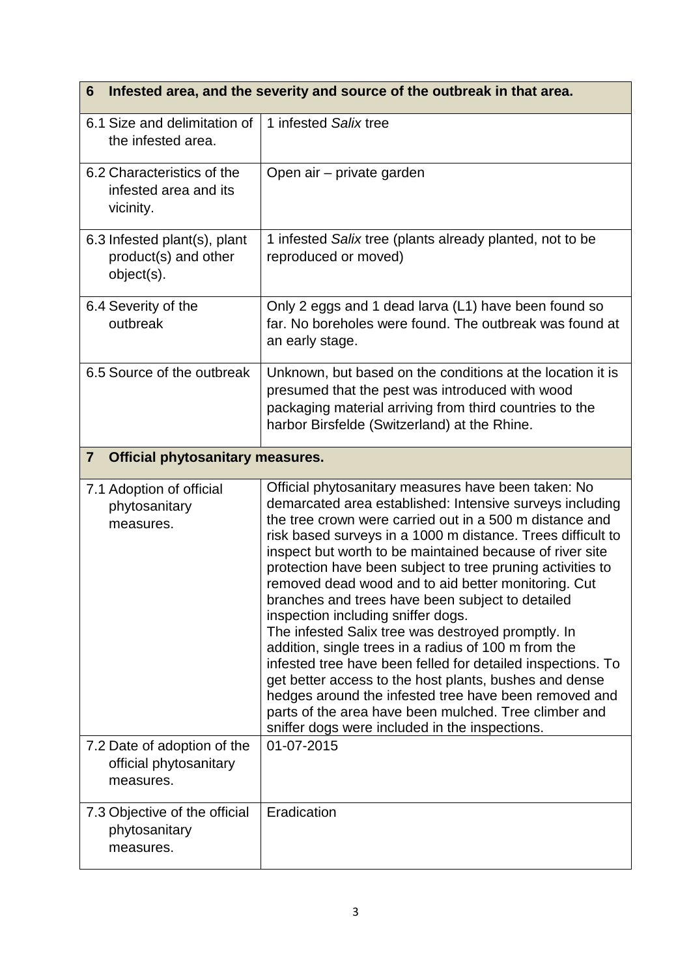| Infested area, and the severity and source of the outbreak in that area.<br>6 |                                                                                                                                                                                                                                                                                                                                                                                                                                                                                                                                                                                                                                                                                                                                                                                                                                                                                                                                 |
|-------------------------------------------------------------------------------|---------------------------------------------------------------------------------------------------------------------------------------------------------------------------------------------------------------------------------------------------------------------------------------------------------------------------------------------------------------------------------------------------------------------------------------------------------------------------------------------------------------------------------------------------------------------------------------------------------------------------------------------------------------------------------------------------------------------------------------------------------------------------------------------------------------------------------------------------------------------------------------------------------------------------------|
| 6.1 Size and delimitation of<br>the infested area.                            | 1 infested Salix tree                                                                                                                                                                                                                                                                                                                                                                                                                                                                                                                                                                                                                                                                                                                                                                                                                                                                                                           |
| 6.2 Characteristics of the<br>infested area and its<br>vicinity.              | Open air – private garden                                                                                                                                                                                                                                                                                                                                                                                                                                                                                                                                                                                                                                                                                                                                                                                                                                                                                                       |
| 6.3 Infested plant(s), plant<br>product(s) and other<br>object(s).            | 1 infested Salix tree (plants already planted, not to be<br>reproduced or moved)                                                                                                                                                                                                                                                                                                                                                                                                                                                                                                                                                                                                                                                                                                                                                                                                                                                |
| 6.4 Severity of the<br>outbreak                                               | Only 2 eggs and 1 dead larva (L1) have been found so<br>far. No boreholes were found. The outbreak was found at<br>an early stage.                                                                                                                                                                                                                                                                                                                                                                                                                                                                                                                                                                                                                                                                                                                                                                                              |
| 6.5 Source of the outbreak                                                    | Unknown, but based on the conditions at the location it is<br>presumed that the pest was introduced with wood<br>packaging material arriving from third countries to the<br>harbor Birsfelde (Switzerland) at the Rhine.                                                                                                                                                                                                                                                                                                                                                                                                                                                                                                                                                                                                                                                                                                        |
| $\overline{7}$<br><b>Official phytosanitary measures.</b>                     |                                                                                                                                                                                                                                                                                                                                                                                                                                                                                                                                                                                                                                                                                                                                                                                                                                                                                                                                 |
| 7.1 Adoption of official<br>phytosanitary<br>measures.                        | Official phytosanitary measures have been taken: No<br>demarcated area established: Intensive surveys including<br>the tree crown were carried out in a 500 m distance and<br>risk based surveys in a 1000 m distance. Trees difficult to<br>inspect but worth to be maintained because of river site<br>protection have been subject to tree pruning activities to<br>removed dead wood and to aid better monitoring. Cut<br>branches and trees have been subject to detailed<br>inspection including sniffer dogs.<br>The infested Salix tree was destroyed promptly. In<br>addition, single trees in a radius of 100 m from the<br>infested tree have been felled for detailed inspections. To<br>get better access to the host plants, bushes and dense<br>hedges around the infested tree have been removed and<br>parts of the area have been mulched. Tree climber and<br>sniffer dogs were included in the inspections. |
| 7.2 Date of adoption of the<br>official phytosanitary<br>measures.            | 01-07-2015                                                                                                                                                                                                                                                                                                                                                                                                                                                                                                                                                                                                                                                                                                                                                                                                                                                                                                                      |
| 7.3 Objective of the official<br>phytosanitary<br>measures.                   | Eradication                                                                                                                                                                                                                                                                                                                                                                                                                                                                                                                                                                                                                                                                                                                                                                                                                                                                                                                     |